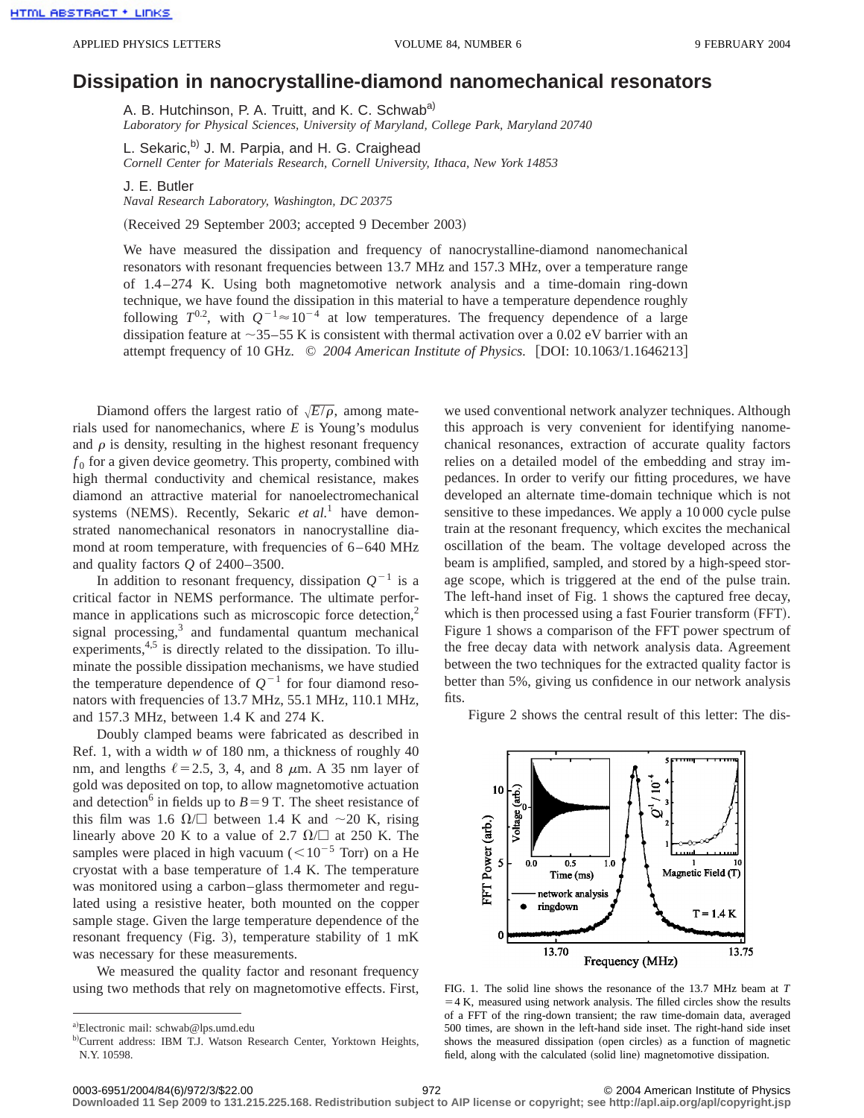## **Dissipation in nanocrystalline-diamond nanomechanical resonators**

A. B. Hutchinson, P. A. Truitt, and K. C. Schwab<sup>a)</sup> *Laboratory for Physical Sciences, University of Maryland, College Park, Maryland 20740*

L. Sekaric,<sup>b)</sup> J. M. Parpia, and H. G. Craighead *Cornell Center for Materials Research, Cornell University, Ithaca, New York 14853*

J. E. Butler

*Naval Research Laboratory, Washington, DC 20375*

(Received 29 September 2003; accepted 9 December 2003)

We have measured the dissipation and frequency of nanocrystalline-diamond nanomechanical resonators with resonant frequencies between 13.7 MHz and 157.3 MHz, over a temperature range of 1.4–274 K. Using both magnetomotive network analysis and a time-domain ring-down technique, we have found the dissipation in this material to have a temperature dependence roughly following  $T^{0.2}$ , with  $Q^{-1} \approx 10^{-4}$  at low temperatures. The frequency dependence of a large dissipation feature at  $\sim$ 35–55 K is consistent with thermal activation over a 0.02 eV barrier with an attempt frequency of 10 GHz.  $\degree$  2004 American Institute of Physics. [DOI: 10.1063/1.1646213]

Diamond offers the largest ratio of  $\sqrt{E/\rho}$ , among materials used for nanomechanics, where *E* is Young's modulus and  $\rho$  is density, resulting in the highest resonant frequency  $f_0$  for a given device geometry. This property, combined with high thermal conductivity and chemical resistance, makes diamond an attractive material for nanoelectromechanical systems (NEMS). Recently, Sekaric *et al.*<sup>1</sup> have demonstrated nanomechanical resonators in nanocrystalline diamond at room temperature, with frequencies of  $6-640$  MHz and quality factors *Q* of 2400–3500.

In addition to resonant frequency, dissipation  $Q^{-1}$  is a critical factor in NEMS performance. The ultimate performance in applications such as microscopic force detection, $2$ signal processing,<sup>3</sup> and fundamental quantum mechanical experiments, $4.5$  is directly related to the dissipation. To illuminate the possible dissipation mechanisms, we have studied the temperature dependence of  $Q^{-1}$  for four diamond resonators with frequencies of 13.7 MHz, 55.1 MHz, 110.1 MHz, and 157.3 MHz, between 1.4 K and 274 K.

Doubly clamped beams were fabricated as described in Ref. 1, with a width *w* of 180 nm, a thickness of roughly 40 nm, and lengths  $\ell$  = 2.5, 3, 4, and 8  $\mu$ m. A 35 nm layer of gold was deposited on top, to allow magnetomotive actuation and detection<sup>6</sup> in fields up to  $B=9$  T. The sheet resistance of this film was 1.6  $\Omega/\square$  between 1.4 K and  $\sim$ 20 K, rising linearly above 20 K to a value of 2.7  $\Omega/\square$  at 250 K. The samples were placed in high vacuum ( $< 10^{-5}$  Torr) on a He cryostat with a base temperature of 1.4 K. The temperature was monitored using a carbon–glass thermometer and regulated using a resistive heater, both mounted on the copper sample stage. Given the large temperature dependence of the resonant frequency (Fig. 3), temperature stability of  $1 \text{ mK}$ was necessary for these measurements.

We measured the quality factor and resonant frequency using two methods that rely on magnetomotive effects. First, we used conventional network analyzer techniques. Although this approach is very convenient for identifying nanomechanical resonances, extraction of accurate quality factors relies on a detailed model of the embedding and stray impedances. In order to verify our fitting procedures, we have developed an alternate time-domain technique which is not sensitive to these impedances. We apply a 10 000 cycle pulse train at the resonant frequency, which excites the mechanical oscillation of the beam. The voltage developed across the beam is amplified, sampled, and stored by a high-speed storage scope, which is triggered at the end of the pulse train. The left-hand inset of Fig. 1 shows the captured free decay, which is then processed using a fast Fourier transform (FFT). Figure 1 shows a comparison of the FFT power spectrum of the free decay data with network analysis data. Agreement between the two techniques for the extracted quality factor is better than 5%, giving us confidence in our network analysis fits.

Figure 2 shows the central result of this letter: The dis-



FIG. 1. The solid line shows the resonance of the 13.7 MHz beam at *T*  $=4 K$ , measured using network analysis. The filled circles show the results of a FFT of the ring-down transient; the raw time-domain data, averaged 500 times, are shown in the left-hand side inset. The right-hand side inset shows the measured dissipation (open circles) as a function of magnetic field, along with the calculated (solid line) magnetomotive dissipation.

a)Electronic mail: schwab@lps.umd.edu

b)Current address: IBM T.J. Watson Research Center, Yorktown Heights, N.Y. 10598.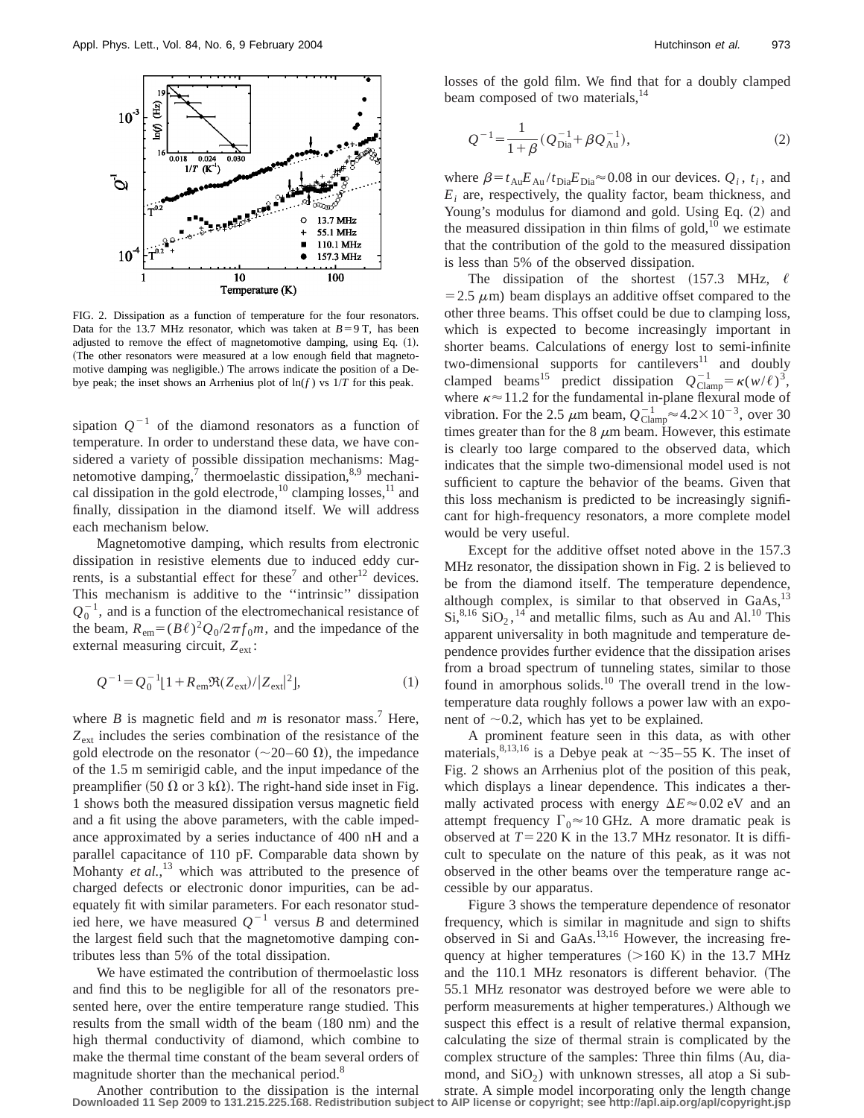

FIG. 2. Dissipation as a function of temperature for the four resonators. Data for the 13.7 MHz resonator, which was taken at  $B=9$  T, has been adjusted to remove the effect of magnetomotive damping, using Eq.  $(1)$ . (The other resonators were measured at a low enough field that magnetomotive damping was negligible.) The arrows indicate the position of a Debye peak; the inset shows an Arrhenius plot of  $\ln(f)$  vs  $1/T$  for this peak.

sipation  $Q^{-1}$  of the diamond resonators as a function of temperature. In order to understand these data, we have considered a variety of possible dissipation mechanisms: Magnetomotive damping, $\bar{z}$  thermoelastic dissipation,  $8.9$  mechanical dissipation in the gold electrode,<sup>10</sup> clamping losses,<sup>11</sup> and finally, dissipation in the diamond itself. We will address each mechanism below.

Magnetomotive damping, which results from electronic dissipation in resistive elements due to induced eddy currents, is a substantial effect for these<sup>7</sup> and other<sup>12</sup> devices. This mechanism is additive to the ''intrinsic'' dissipation  $Q_0^{-1}$ , and is a function of the electromechanical resistance of the beam,  $R_{em} = (B\ell)^2 Q_0/2\pi f_0 m$ , and the impedance of the external measuring circuit,  $Z_{ext}$ :

$$
Q^{-1} = Q_0^{-1} [1 + R_{\rm em} \Re(Z_{\rm ext}) / |Z_{\rm ext}|^2],\tag{1}
$$

where  $B$  is magnetic field and  $m$  is resonator mass.<sup>7</sup> Here,  $Z_{\text{ext}}$  includes the series combination of the resistance of the gold electrode on the resonator  $({\sim}20-60 \Omega)$ , the impedance of the 1.5 m semirigid cable, and the input impedance of the preamplifier (50  $\Omega$  or 3 k $\Omega$ ). The right-hand side inset in Fig. 1 shows both the measured dissipation versus magnetic field and a fit using the above parameters, with the cable impedance approximated by a series inductance of 400 nH and a parallel capacitance of 110 pF. Comparable data shown by Mohanty *et al.*,<sup>13</sup> which was attributed to the presence of charged defects or electronic donor impurities, can be adequately fit with similar parameters. For each resonator studied here, we have measured  $Q^{-1}$  versus *B* and determined the largest field such that the magnetomotive damping contributes less than 5% of the total dissipation.

We have estimated the contribution of thermoelastic loss and find this to be negligible for all of the resonators presented here, over the entire temperature range studied. This results from the small width of the beam  $(180 \text{ nm})$  and the high thermal conductivity of diamond, which combine to make the thermal time constant of the beam several orders of magnitude shorter than the mechanical period.<sup>8</sup>

losses of the gold film. We find that for a doubly clamped beam composed of two materials,<sup>14</sup>

$$
Q^{-1} = \frac{1}{1+\beta} (Q_{\text{Dia}}^{-1} + \beta Q_{\text{Au}}^{-1}),
$$
 (2)

where  $\beta = t_{Au}E_{Au}/t_{Di}E_{Di} \approx 0.08$  in our devices.  $Q_i$ ,  $t_i$ , and  $E_i$  are, respectively, the quality factor, beam thickness, and Young's modulus for diamond and gold. Using Eq. (2) and the measured dissipation in thin films of gold,  $10$  we estimate that the contribution of the gold to the measured dissipation is less than 5% of the observed dissipation.

The dissipation of the shortest (157.3 MHz,  $\ell$  $=$  2.5  $\mu$ m) beam displays an additive offset compared to the other three beams. This offset could be due to clamping loss, which is expected to become increasingly important in shorter beams. Calculations of energy lost to semi-infinite two-dimensional supports for cantilevers $11$  and doubly clamped beams<sup>15</sup> predict dissipation  $Q_{\text{Clamp}}^{-1} = \kappa (w/\ell)^3$ , where  $\kappa \approx 11.2$  for the fundamental in-plane flexural mode of vibration. For the 2.5  $\mu$ m beam,  $Q_{\text{Clamp}}^{-1} \approx 4.2 \times 10^{-3}$ , over 30 times greater than for the  $8 \mu m$  beam. However, this estimate is clearly too large compared to the observed data, which indicates that the simple two-dimensional model used is not sufficient to capture the behavior of the beams. Given that this loss mechanism is predicted to be increasingly significant for high-frequency resonators, a more complete model would be very useful.

Except for the additive offset noted above in the 157.3 MHz resonator, the dissipation shown in Fig. 2 is believed to be from the diamond itself. The temperature dependence, although complex, is similar to that observed in GaAs,<sup>13</sup>  $Si, ^{8,16}SiO<sub>2</sub>, ^{14}$  and metallic films, such as Au and Al.<sup>10</sup> This apparent universality in both magnitude and temperature dependence provides further evidence that the dissipation arises from a broad spectrum of tunneling states, similar to those found in amorphous solids.10 The overall trend in the lowtemperature data roughly follows a power law with an exponent of  $\sim$ 0.2, which has yet to be explained.

A prominent feature seen in this data, as with other materials,  $8,13,16$  is a Debye peak at  $\sim$ 35–55 K. The inset of Fig. 2 shows an Arrhenius plot of the position of this peak, which displays a linear dependence. This indicates a thermally activated process with energy  $\Delta E \approx 0.02$  eV and an attempt frequency  $\Gamma_0 \approx 10$  GHz. A more dramatic peak is observed at  $T=220$  K in the 13.7 MHz resonator. It is difficult to speculate on the nature of this peak, as it was not observed in the other beams over the temperature range accessible by our apparatus.

Figure 3 shows the temperature dependence of resonator frequency, which is similar in magnitude and sign to shifts observed in Si and GaAs.13,16 However, the increasing frequency at higher temperatures  $(>160 \text{ K})$  in the 13.7 MHz and the 110.1 MHz resonators is different behavior. (The 55.1 MHz resonator was destroyed before we were able to perform measurements at higher temperatures.) Although we suspect this effect is a result of relative thermal expansion, calculating the size of thermal strain is complicated by the complex structure of the samples: Three thin films (Au, diamond, and  $SiO<sub>2</sub>$ ) with unknown stresses, all atop a Si substrate. A simple model incorporating only the length change

Another contribution to the dissipation is the internal **Downloaded 11 Sep 2009 to 131.215.225.168. Redistribution subject to AIP license or copyright; see http://apl.aip.org/apl/copyright.jsp**